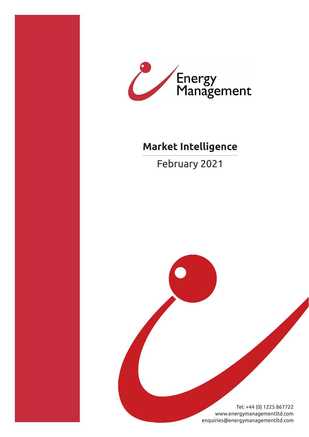



# **Market Intelligence**

February 2021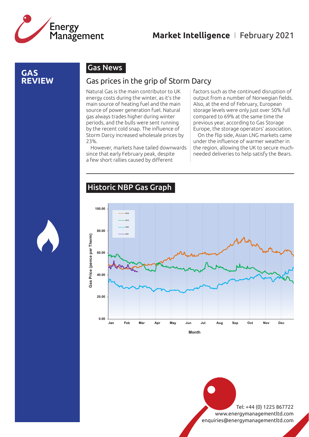

#### **GAS REVIEW**

#### Gas News

#### Gas prices in the grip of Storm Darcy

Natural Gas is the main contributor to UK energy costs during the winter, as it's the main source of heating fuel and the main source of power generation fuel. Natural gas always trades higher during winter periods, and the bulls were sent running by the recent cold snap. The influence of Storm Darcy increased wholesale prices by 23%.

However, markets have tailed downwards since that early February peak, despite a few short rallies caused by different

factors such as the continued disruption of output from a number of Norwegian fields. Also, at the end of February, European storage levels were only just over 50% full compared to 69% at the same time the previous year, according to Gas Storage Europe, the storage operators' association.

On the flip side, Asian LNG markets came under the influence of warmer weather in the region, allowing the UK to secure muchneeded deliveries to help satisfy the Bears.

#### Historic NBP Gas Graph



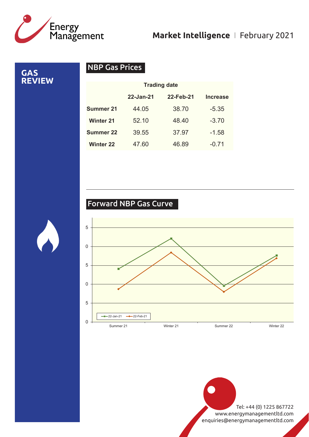

# **Market Intelligence** I February 2021

**GAS REVIEW**

# NBP Gas Prices

|                  | <b>Trading date</b> |           |                 |
|------------------|---------------------|-----------|-----------------|
|                  | 22-Jan-21           | 22-Feb-21 | <b>Increase</b> |
| <b>Summer 21</b> | 44.05               | 38.70     | $-5.35$         |
| <b>Winter 21</b> | 52.10               | 48.40     | $-3.70$         |
| <b>Summer 22</b> | 39.55               | 37.97     | $-1.58$         |
| <b>Winter 22</b> | 47.60               | 46.89     | $-0.71$         |

# Forward NBP Gas Curve

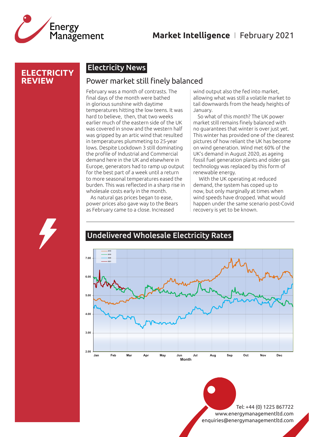

### **Market Intelligence** I February 2021

#### **ELECTRICITY REVIEW**

#### Electricity News

#### Power market still finely balanced

February was a month of contrasts. The final days of the month were bathed in glorious sunshine with daytime temperatures hitting the low teens. It was hard to believe, then, that two weeks earlier much of the eastern side of the UK was covered in snow and the western half was gripped by an artic wind that resulted in temperatures plummeting to 25-year lows. Despite Lockdown 3 still dominating the profile of Industrial and Commercial demand here in the UK and elsewhere in Europe, generators had to ramp up output for the best part of a week until a return to more seasonal temperatures eased the burden. This was reflected in a sharp rise in wholesale costs early in the month.

As natural gas prices began to ease, power prices also gave way to the Bears as February came to a close. Increased

wind output also the fed into market, allowing what was still a volatile market to tail downwards from the heady heights of January.

So what of this month? The UK power market still remains finely balanced with no guarantees that winter is over just yet. This winter has provided one of the clearest pictures of how reliant the UK has become on wind generation. Wind met 60% of the UK's demand in August 2020, as ageing fossil fuel generation plants and older gas technology was replaced by this form of renewable energy.

 With the UK operating at reduced demand, the system has coped up to now, but only marginally at times when wind speeds have dropped. What would happen under the same scenario post-Covid recovery is yet to be known.



Undelivered Wholesale Electricity Rates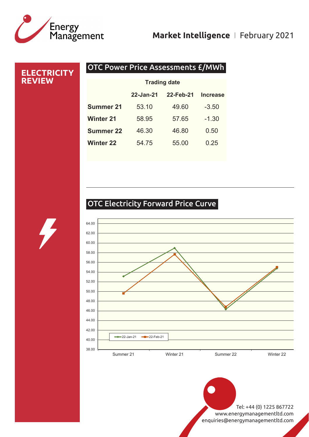# /<br>Energy<br>Management

# **Market Intelligence** I February 2021

# OTC Power Price Assessments £/MWh **ELECTRICITY REVIEW 22-Jan-21 22-Feb-21 Increase Summer 21** 53.10 49.60 -3.50 **Winter 21** 58.95 57.65 -1.30 **Summer 22** 46.30 46.80 0.50 **Winter 22** 54.75 55.00 0.25 **Trading date**

# OTC Electricity Forward Price Curve